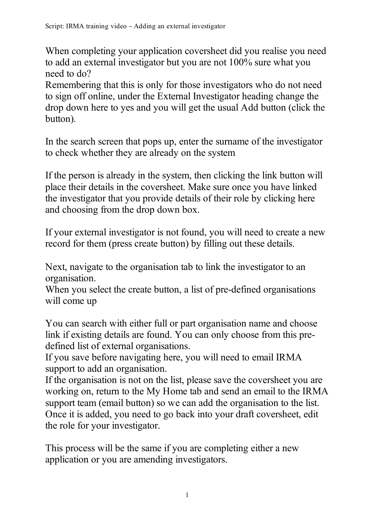When completing your application coversheet did you realise you need to add an external investigator but you are not 100% sure what you need to do?

Remembering that this is only for those investigators who do not need to sign off online, under the External Investigator heading change the drop down here to yes and you will get the usual Add button (click the button).

In the search screen that pops up, enter the surname of the investigator to check whether they are already on the system

If the person is already in the system, then clicking the link button will place their details in the coversheet. Make sure once you have linked the investigator that you provide details of their role by clicking here and choosing from the drop down box.

If your external investigator is not found, you will need to create a new record for them (press create button) by filling out these details.

Next, navigate to the organisation tab to link the investigator to an organisation.

When you select the create button, a list of pre-defined organisations will come up

You can search with either full or part organisation name and choose link if existing details are found. You can only choose from this predefined list of external organisations.

If you save before navigating here, you will need to email IRMA support to add an organisation.

If the organisation is not on the list, please save the coversheet you are working on, return to the My Home tab and send an email to the IRMA support team (email button) so we can add the organisation to the list. Once it is added, you need to go back into your draft coversheet, edit the role for your investigator.

This process will be the same if you are completing either a new application or you are amending investigators.